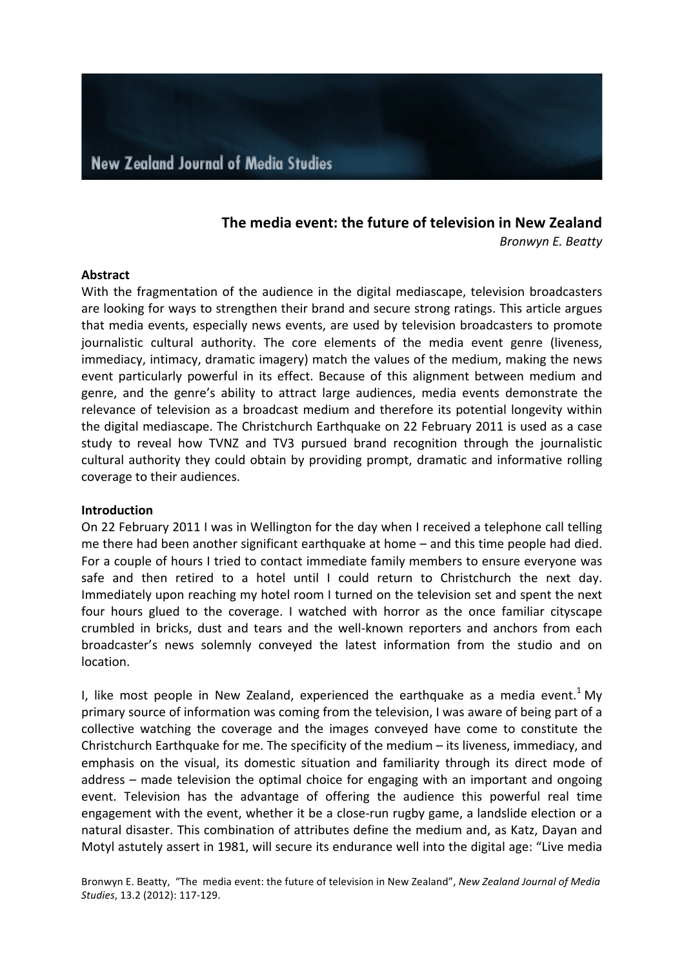# **The media event: the future of television in New Zealand** *Bronwyn E. Beatty*

#### **Abstract**

With the fragmentation of the audience in the digital mediascape, television broadcasters are looking for ways to strengthen their brand and secure strong ratings. This article argues that media events, especially news events, are used by television broadcasters to promote journalistic cultural authority. The core elements of the media event genre (liveness, immediacy, intimacy, dramatic imagery) match the values of the medium, making the news event particularly powerful in its effect. Because of this alignment between medium and genre, and the genre's ability to attract large audiences, media events demonstrate the relevance of television as a broadcast medium and therefore its potential longevity within the digital mediascape. The Christchurch Earthquake on 22 February 2011 is used as a case study to reveal how TVNZ and TV3 pursued brand recognition through the journalistic cultural authority they could obtain by providing prompt, dramatic and informative rolling coverage to their audiences.

#### **Introduction**

On 22 February 2011 I was in Wellington for the day when I received a telephone call telling me there had been another significant earthquake at home  $-$  and this time people had died. For a couple of hours I tried to contact immediate family members to ensure everyone was safe and then retired to a hotel until I could return to Christchurch the next day. Immediately upon reaching my hotel room I turned on the television set and spent the next four hours glued to the coverage. I watched with horror as the once familiar cityscape crumbled in bricks, dust and tears and the well-known reporters and anchors from each broadcaster's news solemnly conveyed the latest information from the studio and on location. 

I, like most people in New Zealand, experienced the earthquake as a media event.<sup>1</sup> My primary source of information was coming from the television, I was aware of being part of a collective watching the coverage and the images conveyed have come to constitute the Christchurch Earthquake for me. The specificity of the medium  $-$  its liveness, immediacy, and emphasis on the visual, its domestic situation and familiarity through its direct mode of address  $-$  made television the optimal choice for engaging with an important and ongoing event. Television has the advantage of offering the audience this powerful real time engagement with the event, whether it be a close-run rugby game, a landslide election or a natural disaster. This combination of attributes define the medium and, as Katz, Dayan and Motyl astutely assert in 1981, will secure its endurance well into the digital age: "Live media

Bronwyn E. Beatty, "The media event: the future of television in New Zealand", *New Zealand Journal of Media Studies*, 13.2 (2012): 117-129.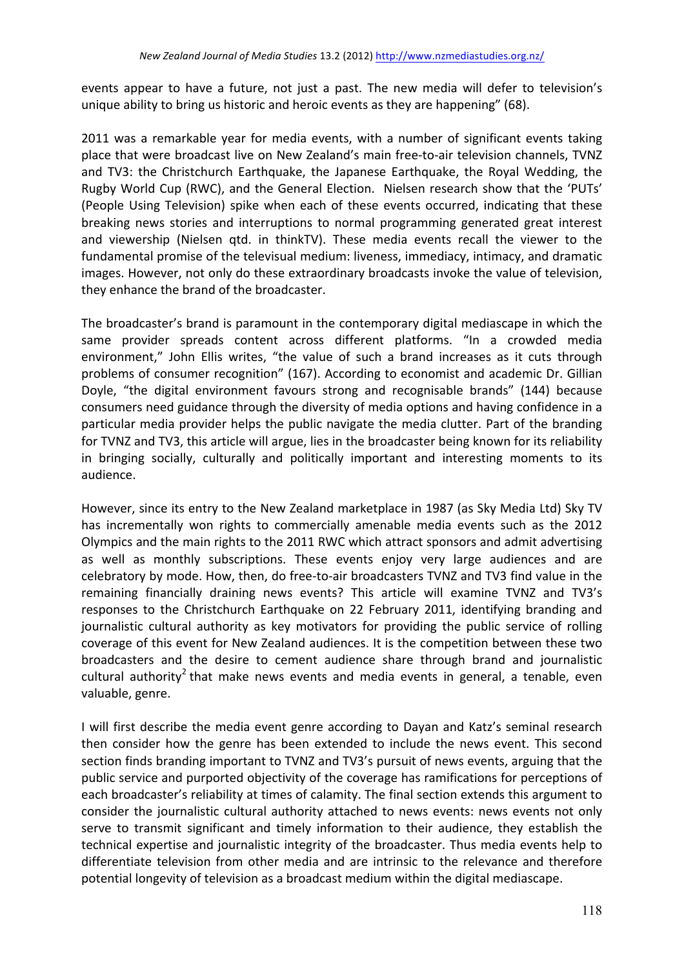events appear to have a future, not just a past. The new media will defer to television's unique ability to bring us historic and heroic events as they are happening" (68).

2011 was a remarkable year for media events, with a number of significant events taking place that were broadcast live on New Zealand's main free-to-air television channels, TVNZ and TV3: the Christchurch Earthquake, the Japanese Earthquake, the Royal Wedding, the Rugby World Cup (RWC), and the General Election. Nielsen research show that the 'PUTs' (People Using Television) spike when each of these events occurred, indicating that these breaking news stories and interruptions to normal programming generated great interest and viewership (Nielsen qtd. in thinkTV). These media events recall the viewer to the fundamental promise of the televisual medium: liveness, immediacy, intimacy, and dramatic images. However, not only do these extraordinary broadcasts invoke the value of television, they enhance the brand of the broadcaster.

The broadcaster's brand is paramount in the contemporary digital mediascape in which the same provider spreads content across different platforms. "In a crowded media environment," John Ellis writes, "the value of such a brand increases as it cuts through problems of consumer recognition" (167). According to economist and academic Dr. Gillian Doyle, "the digital environment favours strong and recognisable brands" (144) because consumers need guidance through the diversity of media options and having confidence in a particular media provider helps the public navigate the media clutter. Part of the branding for TVNZ and TV3, this article will argue, lies in the broadcaster being known for its reliability in bringing socially, culturally and politically important and interesting moments to its audience.

However, since its entry to the New Zealand marketplace in 1987 (as Sky Media Ltd) Sky TV has incrementally won rights to commercially amenable media events such as the 2012 Olympics and the main rights to the 2011 RWC which attract sponsors and admit advertising as well as monthly subscriptions. These events enjoy very large audiences and are celebratory by mode. How, then, do free-to-air broadcasters TVNZ and TV3 find value in the remaining financially draining news events? This article will examine TVNZ and TV3's responses to the Christchurch Earthquake on 22 February 2011, identifying branding and journalistic cultural authority as key motivators for providing the public service of rolling coverage of this event for New Zealand audiences. It is the competition between these two broadcasters and the desire to cement audience share through brand and journalistic cultural authority<sup>2</sup> that make news events and media events in general, a tenable, even valuable, genre.

I will first describe the media event genre according to Dayan and Katz's seminal research then consider how the genre has been extended to include the news event. This second section finds branding important to TVNZ and TV3's pursuit of news events, arguing that the public service and purported objectivity of the coverage has ramifications for perceptions of each broadcaster's reliability at times of calamity. The final section extends this argument to consider the iournalistic cultural authority attached to news events: news events not only serve to transmit significant and timely information to their audience, they establish the technical expertise and journalistic integrity of the broadcaster. Thus media events help to differentiate television from other media and are intrinsic to the relevance and therefore potential longevity of television as a broadcast medium within the digital mediascape.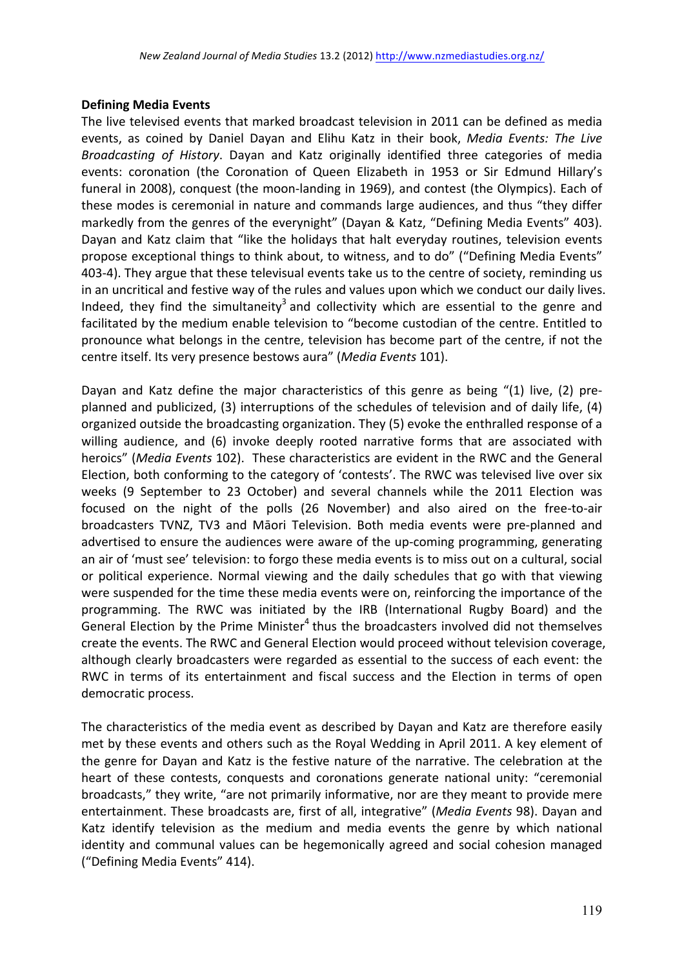### **Defining Media Events**

The live televised events that marked broadcast television in 2011 can be defined as media events, as coined by Daniel Dayan and Elihu Katz in their book, *Media Events: The Live Broadcasting of History*. Dayan and Katz originally identified three categories of media events: coronation (the Coronation of Queen Elizabeth in 1953 or Sir Edmund Hillary's funeral in 2008), conquest (the moon-landing in 1969), and contest (the Olympics). Each of these modes is ceremonial in nature and commands large audiences, and thus "they differ markedly from the genres of the everynight" (Dayan & Katz, "Defining Media Events" 403). Dayan and Katz claim that "like the holidays that halt everyday routines, television events propose exceptional things to think about, to witness, and to do" ("Defining Media Events" 403-4). They argue that these televisual events take us to the centre of society, reminding us in an uncritical and festive way of the rules and values upon which we conduct our daily lives. Indeed, they find the simultaneity<sup>3</sup> and collectivity which are essential to the genre and facilitated by the medium enable television to "become custodian of the centre. Entitled to pronounce what belongs in the centre, television has become part of the centre, if not the centre itself. Its very presence bestows aura" (*Media Events* 101).

Dayan and Katz define the major characteristics of this genre as being "(1) live, (2) preplanned and publicized, (3) interruptions of the schedules of television and of daily life, (4) organized outside the broadcasting organization. They (5) evoke the enthralled response of a willing audience, and (6) invoke deeply rooted narrative forms that are associated with heroics" (Media Events 102). These characteristics are evident in the RWC and the General Election, both conforming to the category of 'contests'. The RWC was televised live over six weeks (9 September to 23 October) and several channels while the 2011 Election was focused on the night of the polls (26 November) and also aired on the free-to-air broadcasters TVNZ, TV3 and Māori Television. Both media events were pre-planned and advertised to ensure the audiences were aware of the up-coming programming, generating an air of 'must see' television: to forgo these media events is to miss out on a cultural, social or political experience. Normal viewing and the daily schedules that go with that viewing were suspended for the time these media events were on, reinforcing the importance of the programming. The RWC was initiated by the IRB (International Rugby Board) and the General Election by the Prime Minister<sup>4</sup> thus the broadcasters involved did not themselves create the events. The RWC and General Election would proceed without television coverage, although clearly broadcasters were regarded as essential to the success of each event: the RWC in terms of its entertainment and fiscal success and the Election in terms of open democratic process.

The characteristics of the media event as described by Dayan and Katz are therefore easily met by these events and others such as the Royal Wedding in April 2011. A key element of the genre for Dayan and Katz is the festive nature of the narrative. The celebration at the heart of these contests, conquests and coronations generate national unity: "ceremonial broadcasts," they write, "are not primarily informative, nor are they meant to provide mere entertainment. These broadcasts are, first of all, integrative" (*Media Events* 98). Dayan and Katz identify television as the medium and media events the genre by which national identity and communal values can be hegemonically agreed and social cohesion managed ("Defining Media Events" 414).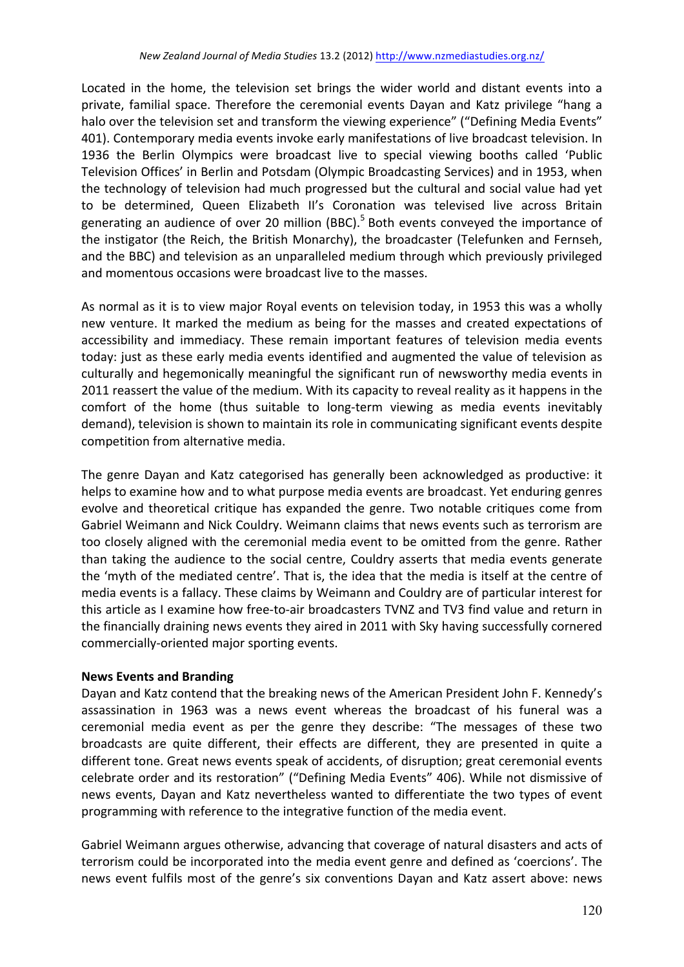Located in the home, the television set brings the wider world and distant events into a private, familial space. Therefore the ceremonial events Dayan and Katz privilege "hang a halo over the television set and transform the viewing experience" ("Defining Media Events" 401). Contemporary media events invoke early manifestations of live broadcast television. In 1936 the Berlin Olympics were broadcast live to special viewing booths called 'Public Television Offices' in Berlin and Potsdam (Olympic Broadcasting Services) and in 1953, when the technology of television had much progressed but the cultural and social value had yet to be determined, Queen Elizabeth II's Coronation was televised live across Britain generating an audience of over 20 million (BBC).<sup>5</sup> Both events conveyed the importance of the instigator (the Reich, the British Monarchy), the broadcaster (Telefunken and Fernseh, and the BBC) and television as an unparalleled medium through which previously privileged and momentous occasions were broadcast live to the masses.

As normal as it is to view major Royal events on television today, in 1953 this was a wholly new venture. It marked the medium as being for the masses and created expectations of accessibility and immediacy. These remain important features of television media events today: just as these early media events identified and augmented the value of television as culturally and hegemonically meaningful the significant run of newsworthy media events in 2011 reassert the value of the medium. With its capacity to reveal reality as it happens in the comfort of the home (thus suitable to long-term viewing as media events inevitably demand), television is shown to maintain its role in communicating significant events despite competition from alternative media.

The genre Dayan and Katz categorised has generally been acknowledged as productive: it helps to examine how and to what purpose media events are broadcast. Yet enduring genres evolve and theoretical critique has expanded the genre. Two notable critiques come from Gabriel Weimann and Nick Couldry. Weimann claims that news events such as terrorism are too closely aligned with the ceremonial media event to be omitted from the genre. Rather than taking the audience to the social centre, Couldry asserts that media events generate the 'myth of the mediated centre'. That is, the idea that the media is itself at the centre of media events is a fallacy. These claims by Weimann and Couldry are of particular interest for this article as I examine how free-to-air broadcasters TVNZ and TV3 find value and return in the financially draining news events they aired in 2011 with Sky having successfully cornered commercially-oriented major sporting events.

## **News Events and Branding**

Dayan and Katz contend that the breaking news of the American President John F. Kennedy's assassination in 1963 was a news event whereas the broadcast of his funeral was a ceremonial media event as per the genre they describe: "The messages of these two broadcasts are quite different, their effects are different, they are presented in quite a different tone. Great news events speak of accidents, of disruption; great ceremonial events celebrate order and its restoration" ("Defining Media Events" 406). While not dismissive of news events, Dayan and Katz nevertheless wanted to differentiate the two types of event programming with reference to the integrative function of the media event.

Gabriel Weimann argues otherwise, advancing that coverage of natural disasters and acts of terrorism could be incorporated into the media event genre and defined as 'coercions'. The news event fulfils most of the genre's six conventions Dayan and Katz assert above: news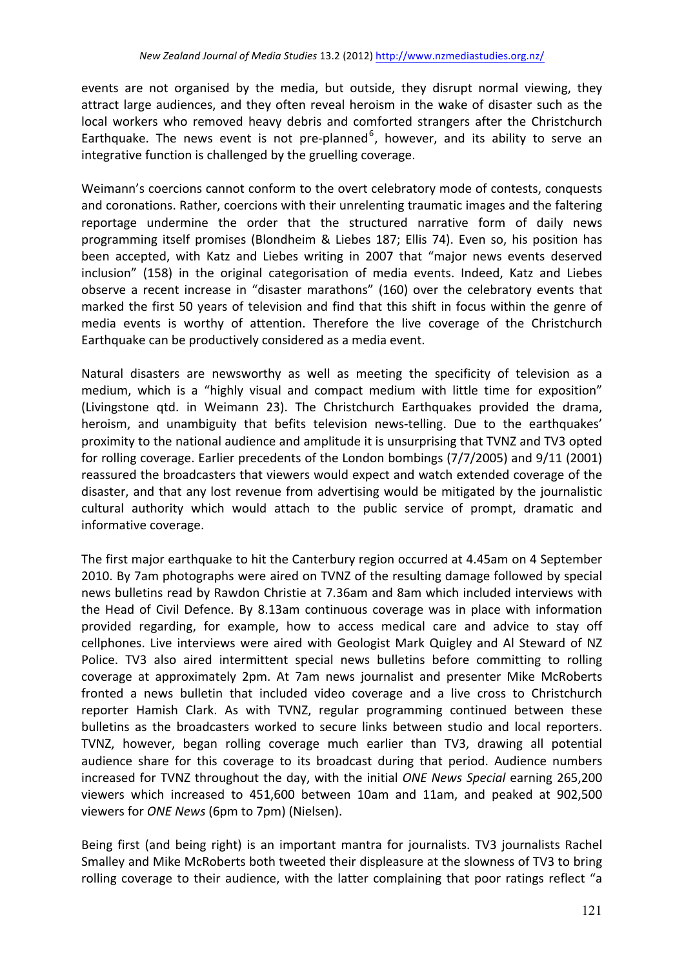events are not organised by the media, but outside, they disrupt normal viewing, they attract large audiences, and they often reveal heroism in the wake of disaster such as the local workers who removed heavy debris and comforted strangers after the Christchurch Earthquake. The news event is not pre-planned<sup>6</sup>, however, and its ability to serve an integrative function is challenged by the gruelling coverage.

Weimann's coercions cannot conform to the overt celebratory mode of contests, conquests and coronations. Rather, coercions with their unrelenting traumatic images and the faltering reportage undermine the order that the structured narrative form of daily news programming itself promises (Blondheim & Liebes 187; Ellis 74). Even so, his position has been accepted, with Katz and Liebes writing in 2007 that "major news events deserved inclusion" (158) in the original categorisation of media events. Indeed, Katz and Liebes observe a recent increase in "disaster marathons" (160) over the celebratory events that marked the first 50 years of television and find that this shift in focus within the genre of media events is worthy of attention. Therefore the live coverage of the Christchurch Earthquake can be productively considered as a media event.

Natural disasters are newsworthy as well as meeting the specificity of television as a medium, which is a "highly visual and compact medium with little time for exposition" (Livingstone qtd. in Weimann 23). The Christchurch Earthquakes provided the drama, heroism, and unambiguity that befits television news-telling. Due to the earthquakes' proximity to the national audience and amplitude it is unsurprising that TVNZ and TV3 opted for rolling coverage. Earlier precedents of the London bombings  $(7/7/2005)$  and  $9/11$  (2001) reassured the broadcasters that viewers would expect and watch extended coverage of the disaster, and that any lost revenue from advertising would be mitigated by the journalistic cultural authority which would attach to the public service of prompt, dramatic and informative coverage.

The first major earthquake to hit the Canterbury region occurred at 4.45am on 4 September 2010. By 7am photographs were aired on TVNZ of the resulting damage followed by special news bulletins read by Rawdon Christie at 7.36am and 8am which included interviews with the Head of Civil Defence. By 8.13am continuous coverage was in place with information provided regarding, for example, how to access medical care and advice to stay off cellphones. Live interviews were aired with Geologist Mark Quigley and Al Steward of NZ Police. TV3 also aired intermittent special news bulletins before committing to rolling coverage at approximately 2pm. At 7am news journalist and presenter Mike McRoberts fronted a news bulletin that included video coverage and a live cross to Christchurch reporter Hamish Clark. As with TVNZ, regular programming continued between these bulletins as the broadcasters worked to secure links between studio and local reporters. TVNZ, however, began rolling coverage much earlier than TV3, drawing all potential audience share for this coverage to its broadcast during that period. Audience numbers increased for TVNZ throughout the day, with the initial *ONE News Special* earning 265,200 viewers which increased to 451,600 between 10am and 11am, and peaked at 902,500 viewers for *ONE News* (6pm to 7pm) (Nielsen).

Being first (and being right) is an important mantra for journalists. TV3 journalists Rachel Smalley and Mike McRoberts both tweeted their displeasure at the slowness of TV3 to bring rolling coverage to their audience, with the latter complaining that poor ratings reflect "a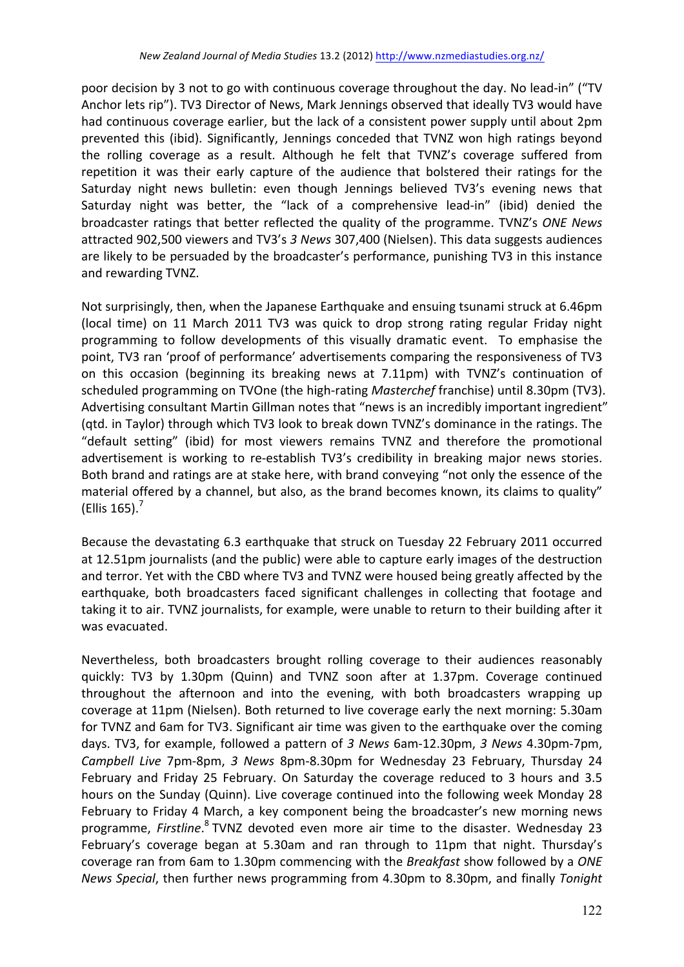poor decision by 3 not to go with continuous coverage throughout the day. No lead-in" ("TV Anchor lets rip"). TV3 Director of News, Mark Jennings observed that ideally TV3 would have had continuous coverage earlier, but the lack of a consistent power supply until about 2pm prevented this (ibid). Significantly, Jennings conceded that TVNZ won high ratings beyond the rolling coverage as a result. Although he felt that TVNZ's coverage suffered from repetition it was their early capture of the audience that bolstered their ratings for the Saturday night news bulletin: even though Jennings believed TV3's evening news that Saturday night was better, the "lack of a comprehensive lead-in" (ibid) denied the broadcaster ratings that better reflected the quality of the programme. TVNZ's ONE News attracted 902,500 viewers and TV3's 3 News 307,400 (Nielsen). This data suggests audiences are likely to be persuaded by the broadcaster's performance, punishing TV3 in this instance and rewarding TVNZ.

Not surprisingly, then, when the Japanese Earthquake and ensuing tsunami struck at 6.46pm (local time) on 11 March 2011 TV3 was quick to drop strong rating regular Friday night programming to follow developments of this visually dramatic event. To emphasise the point, TV3 ran 'proof of performance' advertisements comparing the responsiveness of TV3 on this occasion (beginning its breaking news at 7.11pm) with TVNZ's continuation of scheduled programming on TVOne (the high-rating *Masterchef* franchise) until 8.30pm (TV3). Advertising consultant Martin Gillman notes that "news is an incredibly important ingredient" (gtd. in Taylor) through which TV3 look to break down TVNZ's dominance in the ratings. The "default setting" (ibid) for most viewers remains TVNZ and therefore the promotional advertisement is working to re-establish TV3's credibility in breaking major news stories. Both brand and ratings are at stake here, with brand conveying "not only the essence of the material offered by a channel, but also, as the brand becomes known, its claims to quality" (Ellis  $165$ ).<sup>7</sup>

Because the devastating 6.3 earthquake that struck on Tuesday 22 February 2011 occurred at 12.51pm journalists (and the public) were able to capture early images of the destruction and terror. Yet with the CBD where TV3 and TVNZ were housed being greatly affected by the earthquake, both broadcasters faced significant challenges in collecting that footage and taking it to air. TVNZ journalists, for example, were unable to return to their building after it was evacuated.

Nevertheless, both broadcasters brought rolling coverage to their audiences reasonably quickly: TV3 by 1.30pm (Quinn) and TVNZ soon after at 1.37pm. Coverage continued throughout the afternoon and into the evening, with both broadcasters wrapping up coverage at 11pm (Nielsen). Both returned to live coverage early the next morning: 5.30am for TVNZ and 6am for TV3. Significant air time was given to the earthquake over the coming days. TV3, for example, followed a pattern of 3 News 6am-12.30pm, 3 News 4.30pm-7pm, *Campbell Live* 7pm-8pm, 3 News 8pm-8.30pm for Wednesday 23 February, Thursday 24 February and Friday 25 February. On Saturday the coverage reduced to 3 hours and 3.5 hours on the Sunday (Quinn). Live coverage continued into the following week Monday 28 February to Friday 4 March, a key component being the broadcaster's new morning news programme, Firstline.<sup>8</sup> TVNZ devoted even more air time to the disaster. Wednesday 23 February's coverage began at 5.30am and ran through to 11pm that night. Thursday's coverage ran from 6am to 1.30pm commencing with the *Breakfast* show followed by a *ONE News Special*, then further news programming from 4.30pm to 8.30pm, and finally *Tonight*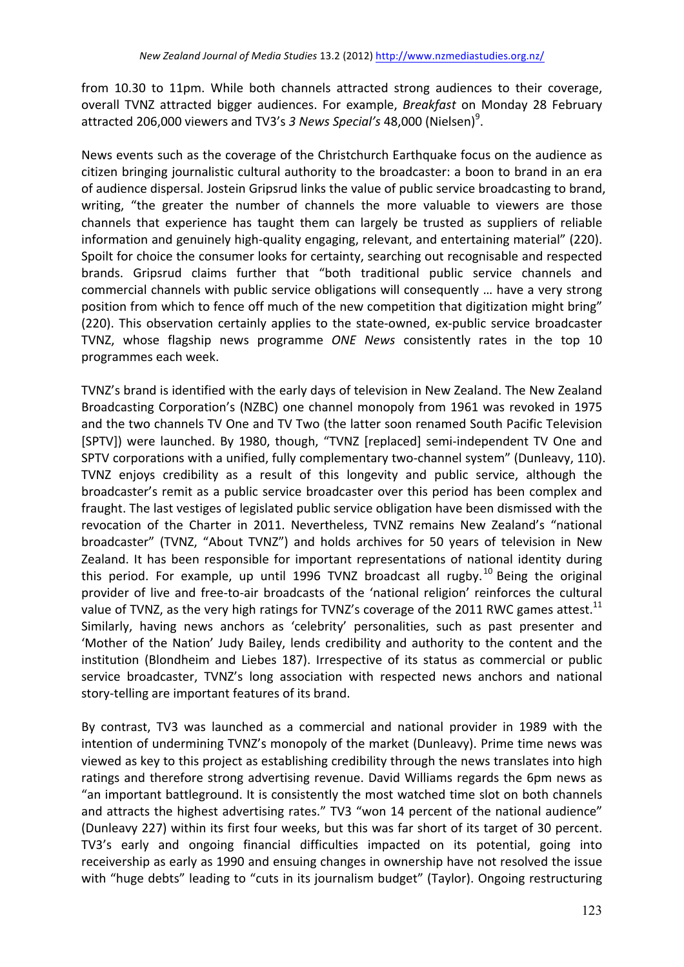from 10.30 to 11pm. While both channels attracted strong audiences to their coverage, overall TVNZ attracted bigger audiences. For example, *Breakfast* on Monday 28 February attracted 206,000 viewers and TV3's 3 News Special's 48,000 (Nielsen)<sup>9</sup>.

News events such as the coverage of the Christchurch Earthquake focus on the audience as citizen bringing journalistic cultural authority to the broadcaster: a boon to brand in an era of audience dispersal. Jostein Gripsrud links the value of public service broadcasting to brand, writing, "the greater the number of channels the more valuable to viewers are those channels that experience has taught them can largely be trusted as suppliers of reliable information and genuinely high-quality engaging, relevant, and entertaining material" (220). Spoilt for choice the consumer looks for certainty, searching out recognisable and respected brands. Gripsrud claims further that "both traditional public service channels and commercial channels with public service obligations will consequently ... have a very strong position from which to fence off much of the new competition that digitization might bring" (220). This observation certainly applies to the state-owned, ex-public service broadcaster TVNZ, whose flagship news programme *ONE* News consistently rates in the top 10 programmes each week.

TVNZ's brand is identified with the early days of television in New Zealand. The New Zealand Broadcasting Corporation's (NZBC) one channel monopoly from 1961 was revoked in 1975 and the two channels TV One and TV Two (the latter soon renamed South Pacific Television [SPTV]) were launched. By 1980, though, "TVNZ [replaced] semi-independent TV One and SPTV corporations with a unified, fully complementary two-channel system" (Dunleavy, 110). TVNZ enjoys credibility as a result of this longevity and public service, although the broadcaster's remit as a public service broadcaster over this period has been complex and fraught. The last vestiges of legislated public service obligation have been dismissed with the revocation of the Charter in 2011. Nevertheless, TVNZ remains New Zealand's "national broadcaster" (TVNZ, "About TVNZ") and holds archives for 50 years of television in New Zealand. It has been responsible for important representations of national identity during this period. For example, up until 1996 TVNZ broadcast all rugby.<sup>10</sup> Being the original provider of live and free-to-air broadcasts of the 'national religion' reinforces the cultural value of TVNZ, as the very high ratings for TVNZ's coverage of the 2011 RWC games attest.<sup>11</sup> Similarly, having news anchors as 'celebrity' personalities, such as past presenter and 'Mother of the Nation' Judy Bailey, lends credibility and authority to the content and the institution (Blondheim and Liebes 187). Irrespective of its status as commercial or public service broadcaster, TVNZ's long association with respected news anchors and national story-telling are important features of its brand.

By contrast, TV3 was launched as a commercial and national provider in 1989 with the intention of undermining TVNZ's monopoly of the market (Dunleavy). Prime time news was viewed as key to this project as establishing credibility through the news translates into high ratings and therefore strong advertising revenue. David Williams regards the 6pm news as "an important battleground. It is consistently the most watched time slot on both channels and attracts the highest advertising rates." TV3 "won 14 percent of the national audience" (Dunleavy 227) within its first four weeks, but this was far short of its target of 30 percent. TV3's early and ongoing financial difficulties impacted on its potential, going into receivership as early as 1990 and ensuing changes in ownership have not resolved the issue with "huge debts" leading to "cuts in its journalism budget" (Taylor). Ongoing restructuring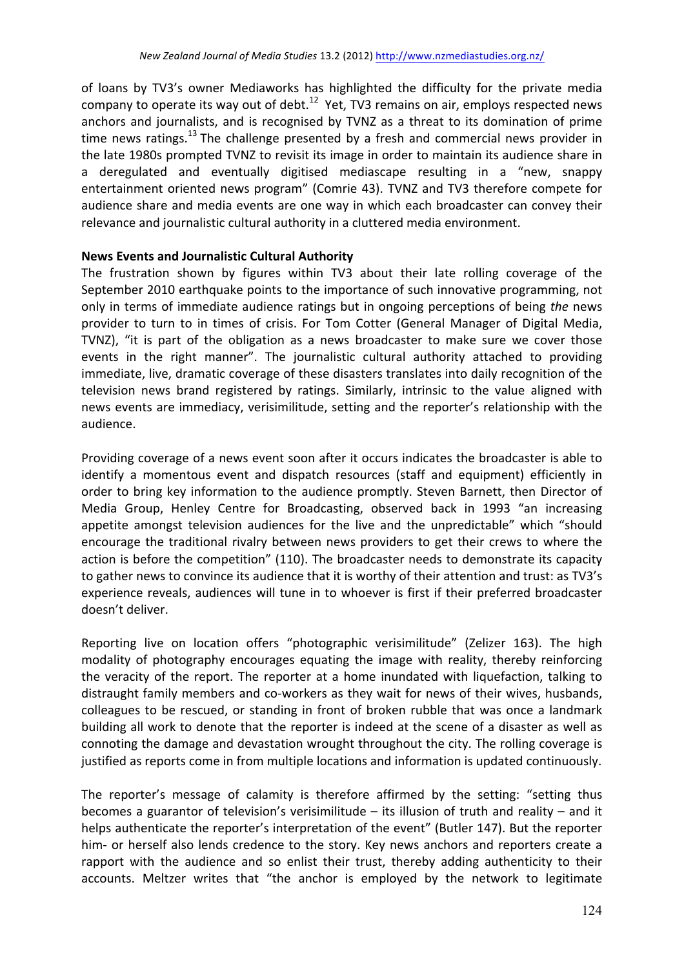of loans by TV3's owner Mediaworks has highlighted the difficulty for the private media company to operate its way out of debt.<sup>12</sup> Yet, TV3 remains on air, employs respected news anchors and iournalists, and is recognised by TVNZ as a threat to its domination of prime time news ratings.<sup>13</sup> The challenge presented by a fresh and commercial news provider in the late 1980s prompted TVNZ to revisit its image in order to maintain its audience share in a deregulated and eventually digitised mediascape resulting in a "new, snappy entertainment oriented news program" (Comrie 43). TVNZ and TV3 therefore compete for audience share and media events are one way in which each broadcaster can convey their relevance and journalistic cultural authority in a cluttered media environment.

# **News Events and Journalistic Cultural Authority**

The frustration shown by figures within TV3 about their late rolling coverage of the September 2010 earthquake points to the importance of such innovative programming, not only in terms of immediate audience ratings but in ongoing perceptions of being the news provider to turn to in times of crisis. For Tom Cotter (General Manager of Digital Media, TVNZ), "it is part of the obligation as a news broadcaster to make sure we cover those events in the right manner". The journalistic cultural authority attached to providing immediate, live, dramatic coverage of these disasters translates into daily recognition of the television news brand registered by ratings. Similarly, intrinsic to the value aligned with news events are immediacy, verisimilitude, setting and the reporter's relationship with the audience. 

Providing coverage of a news event soon after it occurs indicates the broadcaster is able to identify a momentous event and dispatch resources (staff and equipment) efficiently in order to bring key information to the audience promptly. Steven Barnett, then Director of Media Group, Henley Centre for Broadcasting, observed back in 1993 "an increasing appetite amongst television audiences for the live and the unpredictable" which "should encourage the traditional rivalry between news providers to get their crews to where the action is before the competition" (110). The broadcaster needs to demonstrate its capacity to gather news to convince its audience that it is worthy of their attention and trust: as TV3's experience reveals, audiences will tune in to whoever is first if their preferred broadcaster doesn't deliver.

Reporting live on location offers "photographic verisimilitude" (Zelizer 163). The high modality of photography encourages equating the image with reality, thereby reinforcing the veracity of the report. The reporter at a home inundated with liquefaction, talking to distraught family members and co-workers as they wait for news of their wives, husbands, colleagues to be rescued, or standing in front of broken rubble that was once a landmark building all work to denote that the reporter is indeed at the scene of a disaster as well as connoting the damage and devastation wrought throughout the city. The rolling coverage is justified as reports come in from multiple locations and information is updated continuously.

The reporter's message of calamity is therefore affirmed by the setting: "setting thus becomes a guarantor of television's verisimilitude  $-$  its illusion of truth and reality  $-$  and it helps authenticate the reporter's interpretation of the event" (Butler 147). But the reporter him- or herself also lends credence to the story. Key news anchors and reporters create a rapport with the audience and so enlist their trust, thereby adding authenticity to their accounts. Meltzer writes that "the anchor is employed by the network to legitimate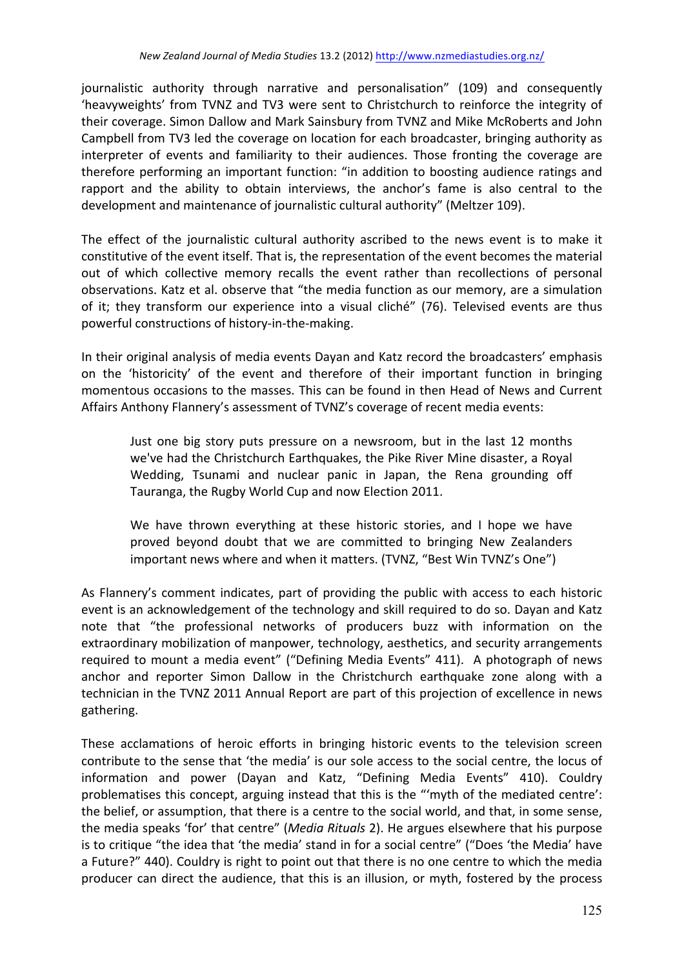journalistic authority through narrative and personalisation" (109) and consequently 'heavyweights' from TVNZ and TV3 were sent to Christchurch to reinforce the integrity of their coverage. Simon Dallow and Mark Sainsbury from TVNZ and Mike McRoberts and John Campbell from TV3 led the coverage on location for each broadcaster, bringing authority as interpreter of events and familiarity to their audiences. Those fronting the coverage are therefore performing an important function: "in addition to boosting audience ratings and rapport and the ability to obtain interviews, the anchor's fame is also central to the development and maintenance of journalistic cultural authority" (Meltzer 109).

The effect of the journalistic cultural authority ascribed to the news event is to make it constitutive of the event itself. That is, the representation of the event becomes the material out of which collective memory recalls the event rather than recollections of personal observations. Katz et al. observe that "the media function as our memory, are a simulation of it; they transform our experience into a visual cliché" (76). Televised events are thus powerful constructions of history-in-the-making.

In their original analysis of media events Dayan and Katz record the broadcasters' emphasis on the 'historicity' of the event and therefore of their important function in bringing momentous occasions to the masses. This can be found in then Head of News and Current Affairs Anthony Flannery's assessment of TVNZ's coverage of recent media events:

Just one big story puts pressure on a newsroom, but in the last 12 months we've had the Christchurch Earthquakes, the Pike River Mine disaster, a Royal Wedding, Tsunami and nuclear panic in Japan, the Rena grounding off Tauranga, the Rugby World Cup and now Election 2011.

We have thrown everything at these historic stories, and I hope we have proved beyond doubt that we are committed to bringing New Zealanders important news where and when it matters. (TVNZ, "Best Win TVNZ's One")

As Flannery's comment indicates, part of providing the public with access to each historic event is an acknowledgement of the technology and skill required to do so. Dayan and Katz note that "the professional networks of producers buzz with information on the extraordinary mobilization of manpower, technology, aesthetics, and security arrangements required to mount a media event" ("Defining Media Events" 411). A photograph of news anchor and reporter Simon Dallow in the Christchurch earthquake zone along with a technician in the TVNZ 2011 Annual Report are part of this projection of excellence in news gathering. 

These acclamations of heroic efforts in bringing historic events to the television screen contribute to the sense that 'the media' is our sole access to the social centre, the locus of information and power (Dayan and Katz, "Defining Media Events" 410). Couldry problematises this concept, arguing instead that this is the "'myth of the mediated centre': the belief, or assumption, that there is a centre to the social world, and that, in some sense, the media speaks 'for' that centre" (*Media Rituals* 2). He argues elsewhere that his purpose is to critique "the idea that 'the media' stand in for a social centre" ("Does 'the Media' have a Future?" 440). Couldry is right to point out that there is no one centre to which the media producer can direct the audience, that this is an illusion, or myth, fostered by the process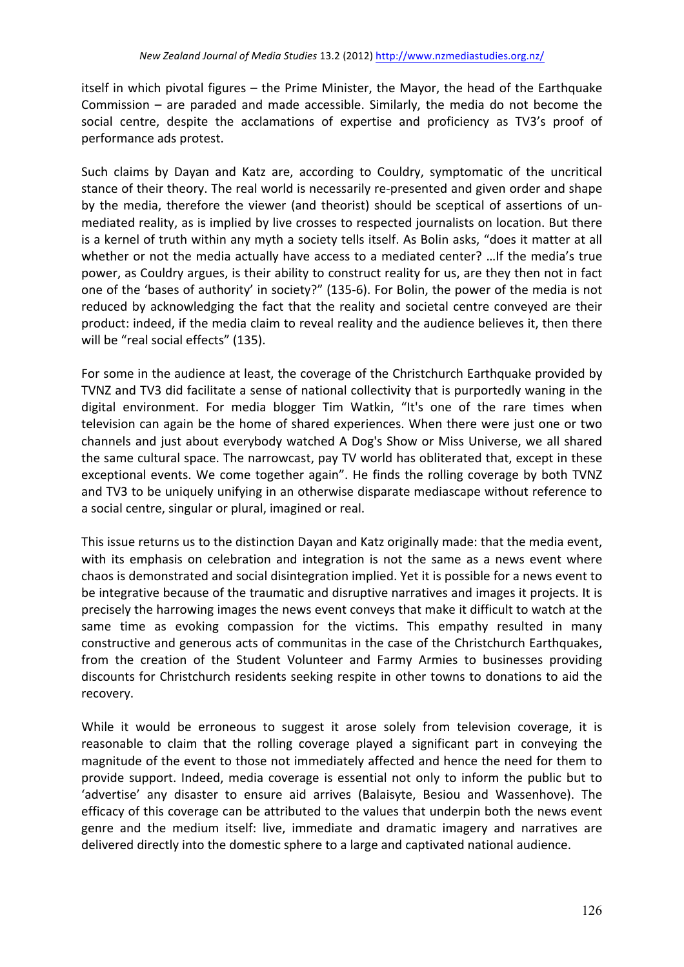itself in which pivotal figures  $-$  the Prime Minister, the Mayor, the head of the Earthquake Commission  $-$  are paraded and made accessible. Similarly, the media do not become the social centre, despite the acclamations of expertise and proficiency as TV3's proof of performance ads protest.

Such claims by Dayan and Katz are, according to Couldry, symptomatic of the uncritical stance of their theory. The real world is necessarily re-presented and given order and shape by the media, therefore the viewer (and theorist) should be sceptical of assertions of unmediated reality, as is implied by live crosses to respected journalists on location. But there is a kernel of truth within any myth a society tells itself. As Bolin asks, "does it matter at all whether or not the media actually have access to a mediated center? ... If the media's true power, as Couldry argues, is their ability to construct reality for us, are they then not in fact one of the 'bases of authority' in society?" (135-6). For Bolin, the power of the media is not reduced by acknowledging the fact that the reality and societal centre conveyed are their product: indeed, if the media claim to reveal reality and the audience believes it, then there will be "real social effects" (135).

For some in the audience at least, the coverage of the Christchurch Earthquake provided by TVNZ and TV3 did facilitate a sense of national collectivity that is purportedly waning in the digital environment. For media blogger Tim Watkin, "It's one of the rare times when television can again be the home of shared experiences. When there were just one or two channels and just about everybody watched A Dog's Show or Miss Universe, we all shared the same cultural space. The narrowcast, pay TV world has obliterated that, except in these exceptional events. We come together again". He finds the rolling coverage by both TVNZ and TV3 to be uniquely unifying in an otherwise disparate mediascape without reference to a social centre, singular or plural, imagined or real.

This issue returns us to the distinction Dayan and Katz originally made: that the media event, with its emphasis on celebration and integration is not the same as a news event where chaos is demonstrated and social disintegration implied. Yet it is possible for a news event to be integrative because of the traumatic and disruptive narratives and images it projects. It is precisely the harrowing images the news event conveys that make it difficult to watch at the same time as evoking compassion for the victims. This empathy resulted in many constructive and generous acts of communitas in the case of the Christchurch Earthquakes, from the creation of the Student Volunteer and Farmy Armies to businesses providing discounts for Christchurch residents seeking respite in other towns to donations to aid the recovery. 

While it would be erroneous to suggest it arose solely from television coverage, it is reasonable to claim that the rolling coverage played a significant part in conveying the magnitude of the event to those not immediately affected and hence the need for them to provide support. Indeed, media coverage is essential not only to inform the public but to 'advertise' any disaster to ensure aid arrives (Balaisyte, Besiou and Wassenhove). The efficacy of this coverage can be attributed to the values that underpin both the news event genre and the medium itself: live, immediate and dramatic imagery and narratives are delivered directly into the domestic sphere to a large and captivated national audience.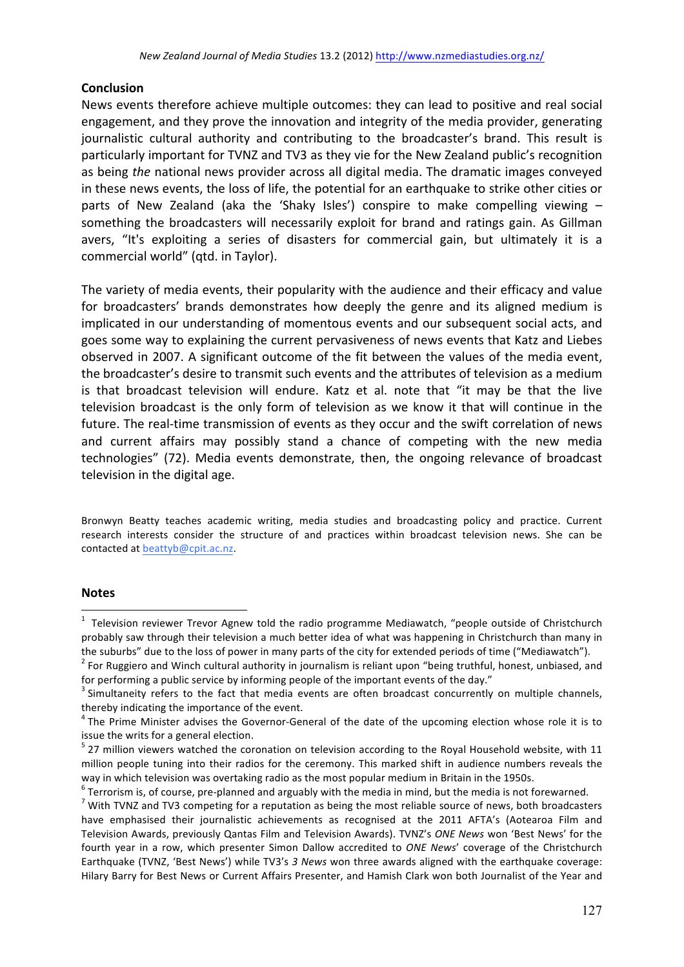### **Conclusion**

News events therefore achieve multiple outcomes: they can lead to positive and real social engagement, and they prove the innovation and integrity of the media provider, generating journalistic cultural authority and contributing to the broadcaster's brand. This result is particularly important for TVNZ and TV3 as they vie for the New Zealand public's recognition as being *the* national news provider across all digital media. The dramatic images conveyed in these news events, the loss of life, the potential for an earthquake to strike other cities or parts of New Zealand (aka the 'Shaky Isles') conspire to make compelling viewing  $$ something the broadcasters will necessarily exploit for brand and ratings gain. As Gillman avers, "It's exploiting a series of disasters for commercial gain, but ultimately it is a commercial world" (qtd. in Taylor).

The variety of media events, their popularity with the audience and their efficacy and value for broadcasters' brands demonstrates how deeply the genre and its aligned medium is implicated in our understanding of momentous events and our subsequent social acts, and goes some way to explaining the current pervasiveness of news events that Katz and Liebes observed in 2007. A significant outcome of the fit between the values of the media event, the broadcaster's desire to transmit such events and the attributes of television as a medium is that broadcast television will endure. Katz et al. note that "it may be that the live television broadcast is the only form of television as we know it that will continue in the future. The real-time transmission of events as they occur and the swift correlation of news and current affairs may possibly stand a chance of competing with the new media technologies" (72). Media events demonstrate, then, the ongoing relevance of broadcast television in the digital age.

Bronwyn Beatty teaches academic writing, media studies and broadcasting policy and practice. Current research interests consider the structure of and practices within broadcast television news. She can be contacted at beattyb@cpit.ac.nz.

### **Notes**

 $\frac{1}{1}$  $1$  Television reviewer Trevor Agnew told the radio programme Mediawatch, "people outside of Christchurch probably saw through their television a much better idea of what was happening in Christchurch than many in

the suburbs" due to the loss of power in many parts of the city for extended periods of time ("Mediawatch").<br><sup>2</sup> For Ruggiero and Winch cultural authority in journalism is reliant upon "being truthful, honest, unbiased, a

for performing a public service by informing people of the important events of the day."  $3$  Simultaneity refers to the fact that media events are often broadcast concurrently on multiple channels, thereby indicating the importance of the event.

 $4$  The Prime Minister advises the Governor-General of the date of the upcoming election whose role it is to issue the writs for a general election.

 $5$  27 million viewers watched the coronation on television according to the Royal Household website, with 11 million people tuning into their radios for the ceremony. This marked shift in audience numbers reveals the way in which television was overtaking radio as the most popular medium in Britain in the 1950s.

<sup>&</sup>lt;sup>6</sup> Terrorism is, of course, pre-planned and arguably with the media in mind, but the media is not forewarned.<br><sup>7</sup> With TVNZ and TV3 competing for a reputation as being the most reliable source of news, both broadcasters have emphasised their journalistic achievements as recognised at the 2011 AFTA's (Aotearoa Film and Television Awards, previously Qantas Film and Television Awards). TVNZ's ONE News won 'Best News' for the fourth year in a row, which presenter Simon Dallow accredited to ONE News' coverage of the Christchurch Earthquake (TVNZ, 'Best News') while TV3's 3 News won three awards aligned with the earthquake coverage: Hilary Barry for Best News or Current Affairs Presenter, and Hamish Clark won both Journalist of the Year and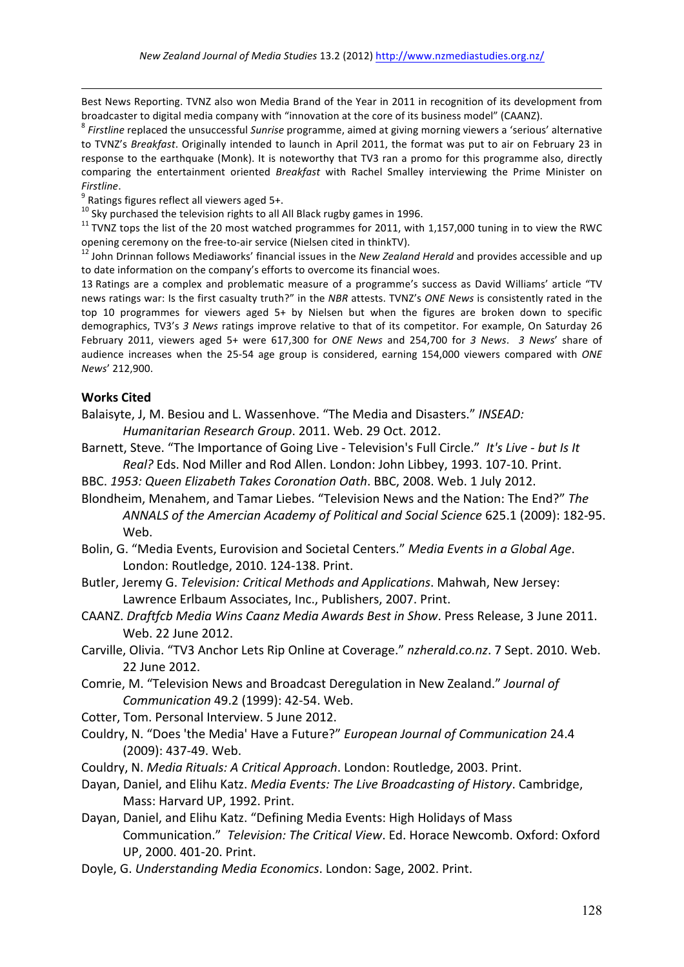Best News Reporting. TVNZ also won Media Brand of the Year in 2011 in recognition of its development from broadcaster to digital media company with "innovation at the core of its business model" (CAANZ).<br><sup>8</sup> *Firstline* replaced the unsuccessful *Sunrise* programme, aimed at giving morning viewers a 'serious' alternative

to TVNZ's Breakfast. Originally intended to launch in April 2011, the format was put to air on February 23 in response to the earthquake (Monk). It is noteworthy that TV3 ran a promo for this programme also, directly comparing the entertainment oriented *Breakfast* with Rachel Smalley interviewing the Prime Minister on

Firstline.<br><sup>9</sup> Ratings figures reflect all viewers aged 5+.<br><sup>10</sup> Sky purchased the television rights to all All Black rugby games in 1996.

<sup>11</sup> TVNZ tops the list of the 20 most watched programmes for 2011, with 1,157,000 tuning in to view the RWC opening ceremony on the free-to-air service (Nielsen cited in thinkTV).

John Drinnan follows Mediaworks' financial issues in the New Zealand Herald and provides accessible and up to date information on the company's efforts to overcome its financial woes.

13 Ratings are a complex and problematic measure of a programme's success as David Williams' article "TV news ratings war: Is the first casualty truth?" in the *NBR* attests. TVNZ's *ONE News* is consistently rated in the top 10 programmes for viewers aged  $5+$  by Nielsen but when the figures are broken down to specific demographics, TV3's 3 News ratings improve relative to that of its competitor. For example, On Saturday 26 February 2011, viewers aged 5+ were 617,300 for *ONE* News and 254,700 for 3 News. 3 News' share of audience increases when the 25-54 age group is considered, earning 154,000 viewers compared with *ONE News*' 212,900.

#### **Works Cited**

1

Balaisyte, J, M. Besiou and L. Wassenhove. "The Media and Disasters." INSEAD:

*Humanitarian Research Group*. 2011. Web. 29 Oct. 2012.

Barnett, Steve. "The Importance of Going Live - Television's Full Circle." It's Live - but Is It *Real?* Eds. Nod Miller and Rod Allen. London: John Libbey, 1993. 107-10. Print.

BBC. 1953: Queen Elizabeth Takes Coronation Oath. BBC, 2008. Web. 1 July 2012.

- Blondheim, Menahem, and Tamar Liebes. "Television News and the Nation: The End?" The ANNALS of the Amercian Academy of Political and Social Science 625.1 (2009): 182-95. Web.
- Bolin, G. "Media Events, Eurovision and Societal Centers." *Media Events in a Global Age*. London: Routledge, 2010. 124-138. Print.
- Butler, Jeremy G. *Television: Critical Methods and Applications*. Mahwah, New Jersey: Lawrence Erlbaum Associates, Inc., Publishers, 2007. Print.
- CAANZ. Draftfcb Media Wins Caanz Media Awards Best in Show. Press Release, 3 June 2011. Web. 22 June 2012.
- Carville, Olivia. "TV3 Anchor Lets Rip Online at Coverage." *nzherald.co.nz*. 7 Sept. 2010. Web. 22 June 2012.
- Comrie, M. "Television News and Broadcast Deregulation in New Zealand." Journal of *Communication* 49.2 (1999): 42-54. Web.
- Cotter, Tom. Personal Interview. 5 June 2012.
- Couldry, N. "Does 'the Media' Have a Future?" *European Journal of Communication* 24.4 (2009): 437-49. Web.
- Couldry, N. *Media Rituals: A Critical Approach*. London: Routledge, 2003. Print.
- Dayan, Daniel, and Elihu Katz. *Media Events: The Live Broadcasting of History*. Cambridge, Mass: Harvard UP, 1992. Print.
- Dayan, Daniel, and Elihu Katz. "Defining Media Events: High Holidays of Mass Communication." Television: The Critical View. Ed. Horace Newcomb. Oxford: Oxford UP. 2000. 401-20. Print.
- Doyle, G. Understanding Media Economics. London: Sage, 2002. Print.